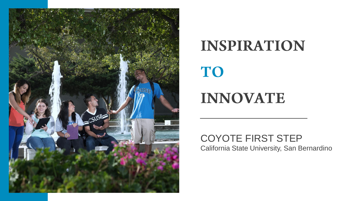

# INSPIRATION

# TO

# **INNOVATE**

#### COYOTE FIRST STEP California State University, San Bernardino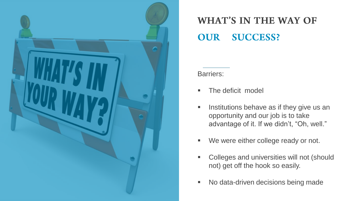

#### **WHAT'S IN THE WAY OF SUCCESS? OUR**

Barriers:

- **The deficit model**
- $\blacksquare$  Institutions behave as if they give us an opportunity and our job is to take advantage of it. If we didn't, "Oh, well."
- We were either college ready or not.
- **Colleges and universities will not (should** not) get off the hook so easily.
- No data-driven decisions being made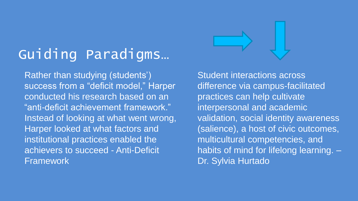# Guiding Paradigms…

Rather than studying (students') success from a "deficit model," Harper conducted his research based on an "anti-deficit achievement framework." Instead of looking at what went wrong, Harper looked at what factors and institutional practices enabled the achievers to succeed - Anti-Deficit Framework

Student interactions across difference via campus-facilitated practices can help cultivate interpersonal and academic validation, social identity awareness (salience), a host of civic outcomes, multicultural competencies, and habits of mind for lifelong learning. – Dr. Sylvia Hurtado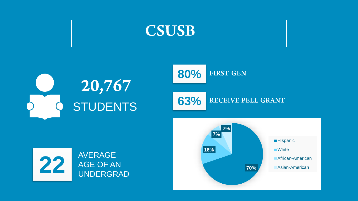





**63%** RECEIVE PELL GRANT



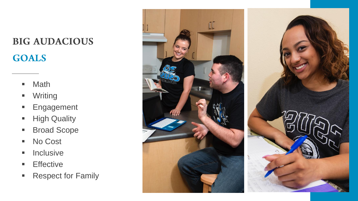# **BIG AUDACIOUS GOALS**

- **Math**
- **•** Writing
- **Engagement**
- **High Quality**
- **Broad Scope**
- No Cost
- $\blacksquare$  Inclusive
- **Effective**
- **Respect for Family**

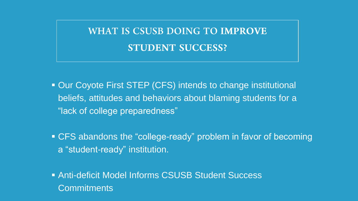## **WHAT IS CSUSB DOING TO IMPROVE STUDENT SUCCESS?**

- Our Coyote First STEP (CFS) intends to change institutional beliefs, attitudes and behaviors about blaming students for a "lack of college preparedness"
- CFS abandons the "college-ready" problem in favor of becoming a "student-ready" institution.
- Anti-deficit Model Informs CSUSB Student Success **Commitments**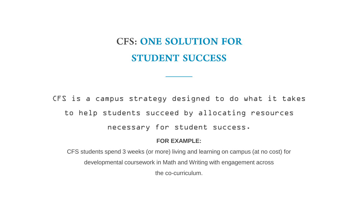## **CFS: ONE SOLUTION FOR STUDENT SUCCESS**

CFS is a campus strategy designed to do what it takes to help students succeed by allocating resources necessary for student success.

#### **FOR EXAMPLE:**

CFS students spend 3 weeks (or more) living and learning on campus (at no cost) for developmental coursework in Math and Writing with engagement across the co-curriculum.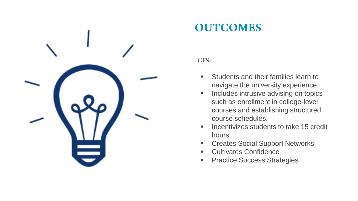

## **OUTCOMES**

CFS:

- **Students and their families learn to** navigate the university experience.
- **Includes intrusive advising on topics** such as enrollment in college-level courses and establishing structured course schedules.
- $\blacksquare$  Incentivizes students to take 15 credit hours
- Creates Social Support Networks
- Cultivates Confidence
- **Practice Success Strategies**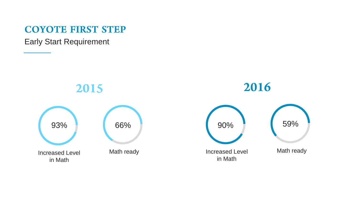#### **COYOTE FIRST STEP**

Early Start Requirement

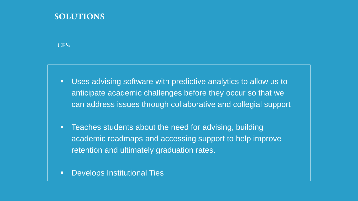#### **SOLUTIONS**

 $CFS:$ 

- Uses advising software with predictive analytics to allow us to anticipate academic challenges before they occur so that we can address issues through collaborative and collegial support
- **Teaches students about the need for advising, building** academic roadmaps and accessing support to help improve retention and ultimately graduation rates.
- **Develops Institutional Ties**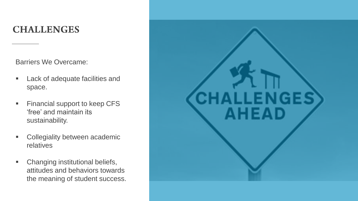### **CHALLENGES**

Barriers We Overcame:

- **EXECUTE:** Lack of adequate facilities and space.
- **Financial support to keep CFS** 'free' and maintain its sustainability.
- **EXECOLLED** Collegiality between academic relatives
- Changing institutional beliefs, attitudes and behaviors towards the meaning of student success.